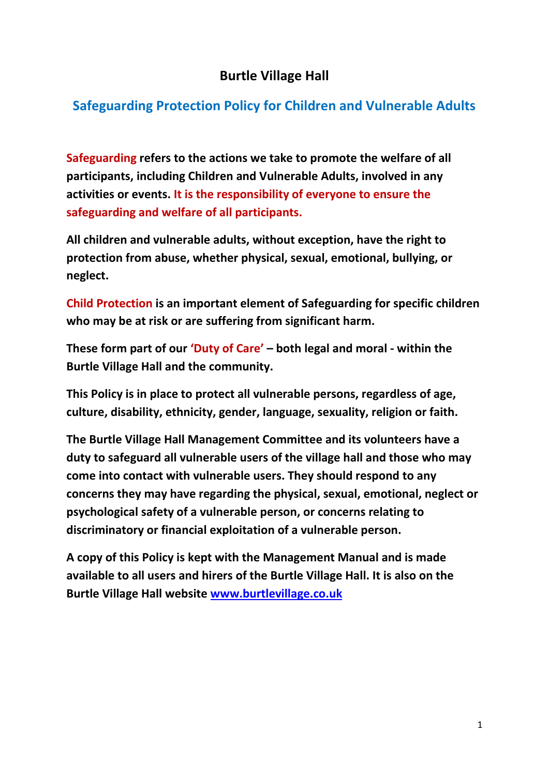## **Burtle Village Hall**

# **Safeguarding Protection Policy for Children and Vulnerable Adults**

**Safeguarding refers to the actions we take to promote the welfare of all participants, including Children and Vulnerable Adults, involved in any activities or events. It is the responsibility of everyone to ensure the safeguarding and welfare of all participants.**

**All children and vulnerable adults, without exception, have the right to protection from abuse, whether physical, sexual, emotional, bullying, or neglect.**

**Child Protection is an important element of Safeguarding for specific children who may be at risk or are suffering from significant harm.**

**These form part of our 'Duty of Care' – both legal and moral - within the Burtle Village Hall and the community.**

**This Policy is in place to protect all vulnerable persons, regardless of age, culture, disability, ethnicity, gender, language, sexuality, religion or faith.**

**The Burtle Village Hall Management Committee and its volunteers have a duty to safeguard all vulnerable users of the village hall and those who may come into contact with vulnerable users. They should respond to any concerns they may have regarding the physical, sexual, emotional, neglect or psychological safety of a vulnerable person, or concerns relating to discriminatory or financial exploitation of a vulnerable person.**

**A copy of this Policy is kept with the Management Manual and is made available to all users and hirers of the Burtle Village Hall. It is also on the Burtle Village Hall website [www.burtlevillage.co.uk](http://www.burtlevillage.co.uk/)**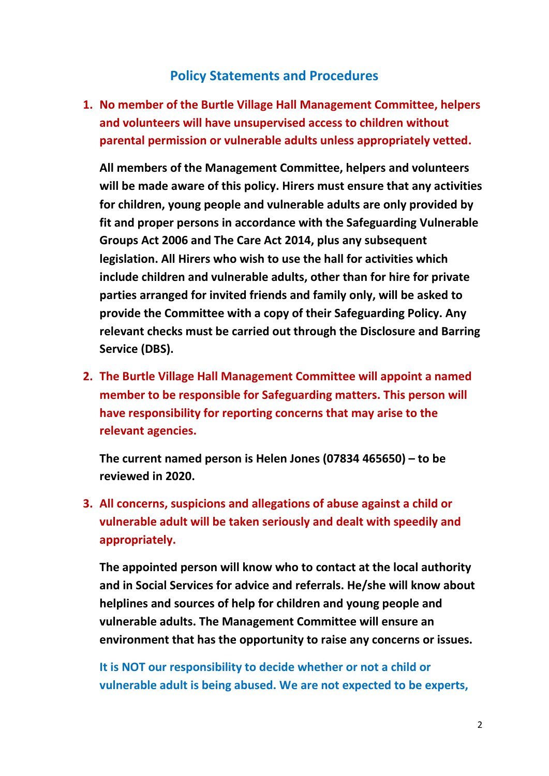### **Policy Statements and Procedures**

**1. No member of the Burtle Village Hall Management Committee, helpers and volunteers will have unsupervised access to children without parental permission or vulnerable adults unless appropriately vetted.**

**All members of the Management Committee, helpers and volunteers will be made aware of this policy. Hirers must ensure that any activities for children, young people and vulnerable adults are only provided by fit and proper persons in accordance with the Safeguarding Vulnerable Groups Act 2006 and The Care Act 2014, plus any subsequent legislation. All Hirers who wish to use the hall for activities which include children and vulnerable adults, other than for hire for private parties arranged for invited friends and family only, will be asked to provide the Committee with a copy of their Safeguarding Policy. Any relevant checks must be carried out through the Disclosure and Barring Service (DBS).**

**2. The Burtle Village Hall Management Committee will appoint a named member to be responsible for Safeguarding matters. This person will have responsibility for reporting concerns that may arise to the relevant agencies.**

**The current named person is Helen Jones (07834 465650) – to be reviewed in 2020.**

**3. All concerns, suspicions and allegations of abuse against a child or vulnerable adult will be taken seriously and dealt with speedily and appropriately.**

**The appointed person will know who to contact at the local authority and in Social Services for advice and referrals. He/she will know about helplines and sources of help for children and young people and vulnerable adults. The Management Committee will ensure an environment that has the opportunity to raise any concerns or issues.**

**It is NOT our responsibility to decide whether or not a child or vulnerable adult is being abused. We are not expected to be experts,**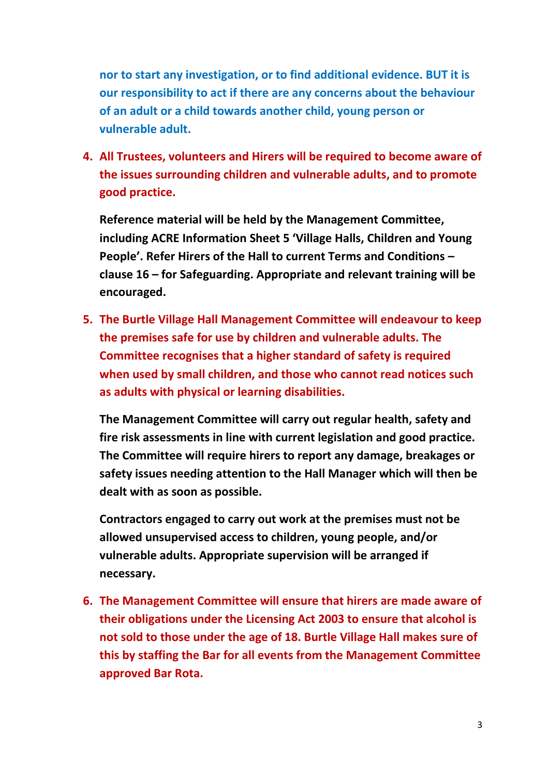**nor to start any investigation, or to find additional evidence. BUT it is our responsibility to act if there are any concerns about the behaviour of an adult or a child towards another child, young person or vulnerable adult.**

**4. All Trustees, volunteers and Hirers will be required to become aware of the issues surrounding children and vulnerable adults, and to promote good practice.**

**Reference material will be held by the Management Committee, including ACRE Information Sheet 5 'Village Halls, Children and Young People'. Refer Hirers of the Hall to current Terms and Conditions – clause 16 – for Safeguarding. Appropriate and relevant training will be encouraged.**

**5. The Burtle Village Hall Management Committee will endeavour to keep the premises safe for use by children and vulnerable adults. The Committee recognises that a higher standard of safety is required when used by small children, and those who cannot read notices such as adults with physical or learning disabilities.**

**The Management Committee will carry out regular health, safety and fire risk assessments in line with current legislation and good practice. The Committee will require hirers to report any damage, breakages or safety issues needing attention to the Hall Manager which will then be dealt with as soon as possible.**

**Contractors engaged to carry out work at the premises must not be allowed unsupervised access to children, young people, and/or vulnerable adults. Appropriate supervision will be arranged if necessary.**

**6. The Management Committee will ensure that hirers are made aware of their obligations under the Licensing Act 2003 to ensure that alcohol is not sold to those under the age of 18. Burtle Village Hall makes sure of this by staffing the Bar for all events from the Management Committee approved Bar Rota.**